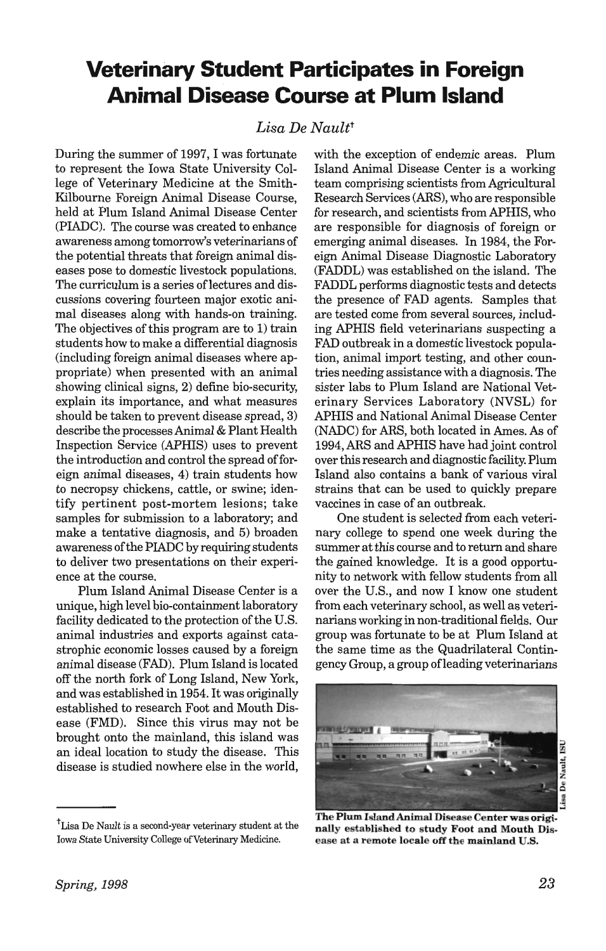## **Veterinary Student Participates in Foreign Animal Disease Course at Plum Island**

## Lisa De Nault<sup>t</sup>

During the summer of 1997, I was fortunate to represent the Iowa State University College of Veterinary Medicine at the Smith-Kilbourne Foreign Animal Disease Course, held at Plum Island Animal Disease Center (PIADC). The course was created to enhance awareness among tomorrow's veterinarians of the potential threats that foreign animal diseases pose to domestic livestock populations. The curriculum is a series of lectures and discussions covering fourteen major exotic animal diseases along with hands-on training. The objectives of this program are to 1) train students how to make a differential diagnosis (including foreign animal diseases where appropriate) when presented with an animal showing clinical signs, 2) define bio-security, explain its importance, and what measures should be taken to prevent disease spread, 3) describe the processes Animal & Plant Health Inspection Service (APHIS) uses to prevent the introduction and control the spread of foreign animal diseases, 4) train students how to necropsy chickens, cattle, or swine; identify pertinent post-mortem lesions; take samples for submission to a laboratory; and make a tentative diagnosis, and 5) broaden awareness of the PIADC by requiring students to deliver two presentations on their experience at the course.

Plum Island Animal Disease Center is a unique, high level bio-containment laboratory facility dedicated to the protection of the U.S. animal industries and exports against catastrophic economic losses caused by a foreign animal disease (FAD). Plum Island is located off the north fork of Long Island, New York, and was established in 1954. It was originally established to research Foot and Mouth Disease (FMD). Since this virus may not be brought onto the mainland, this island was an ideal location to study the disease. This disease is studied nowhere else in the world, with the exception of endemic areas. Plum Island Animal Disease Center is a working team comprising scientists from Agricultural Research Services (ARS), who are responsible for research, and scientists from APHIS, who are responsible for diagnosis of foreign or emerging animal diseases. In 1984, the Foreign Animal Disease Diagnostic Laboratory (FADDL) was established on the island. The FADDL performs diagnostic tests and detects the presence of FAD agents. Samples that are tested come from several sources, including APHIS field veterinarians suspecting a FAD outbreak in a domestic livestock population, animal import testing, and other countries needing assistance with a diagnosis. The sister labs to Plum Island are National Veterinary Services Laboratory (NVSL) for APHIS and National Animal Disease Center (NADC) for ARS, both located in Ames. As of 1994, ARS and APHIS have had joint control over this research and diagnostic facility. Plum Island also contains a bank of various viral strains that can be used to quickly prepare vaccines in case of an outbreak.

One student is selected from each veterinary college to spend one week during the summer at this course and to return and share the gained knowledge. It is a good opportunity to network with fellow students from all over the U.S., and now I know one student from each veterinary school, as well as veterinarians working in non-traditional fields. Our group was fortunate to be at Plum Island at the same time as the Quadrilateral Contingency Group, a group ofleading veterinarians



The Plum Island Animal Disease Center was originally established to study Foot and Mouth Disease at a remote locale off the mainland U.S.

<sup>&</sup>lt;sup>t</sup>Lisa De Nault is a second-year veterinary student at the Iowa State University College of Veterinary Medicine.